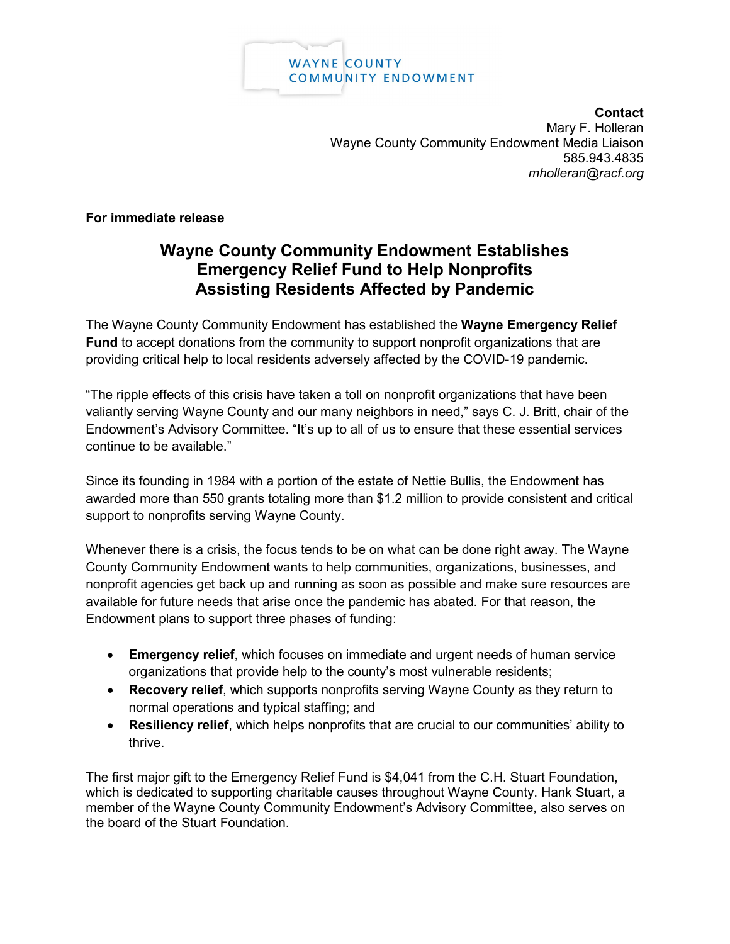

**Contact** Mary F. Holleran Wayne County Community Endowment Media Liaison 585.943.4835 *mholleran@racf.org*

**For immediate release**

## **Wayne County Community Endowment Establishes Emergency Relief Fund to Help Nonprofits Assisting Residents Affected by Pandemic**

The Wayne County Community Endowment has established the **Wayne Emergency Relief Fund** to accept donations from the community to support nonprofit organizations that are providing critical help to local residents adversely affected by the COVID-19 pandemic.

"The ripple effects of this crisis have taken a toll on nonprofit organizations that have been valiantly serving Wayne County and our many neighbors in need," says C. J. Britt, chair of the Endowment's Advisory Committee. "It's up to all of us to ensure that these essential services continue to be available."

Since its founding in 1984 with a portion of the estate of Nettie Bullis, the Endowment has awarded more than 550 grants totaling more than \$1.2 million to provide consistent and critical support to nonprofits serving Wayne County.

Whenever there is a crisis, the focus tends to be on what can be done right away. The Wayne County Community Endowment wants to help communities, organizations, businesses, and nonprofit agencies get back up and running as soon as possible and make sure resources are available for future needs that arise once the pandemic has abated. For that reason, the Endowment plans to support three phases of funding:

- **Emergency relief**, which focuses on immediate and urgent needs of human service organizations that provide help to the county's most vulnerable residents;
- **Recovery relief**, which supports nonprofits serving Wayne County as they return to normal operations and typical staffing; and
- **Resiliency relief**, which helps nonprofits that are crucial to our communities' ability to thrive.

The first major gift to the Emergency Relief Fund is \$4,041 from the C.H. Stuart Foundation, which is dedicated to supporting charitable causes throughout Wayne County. Hank Stuart, a member of the Wayne County Community Endowment's Advisory Committee, also serves on the board of the Stuart Foundation.